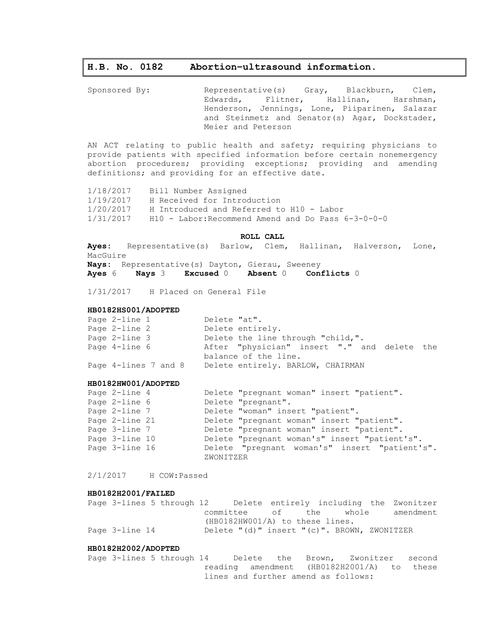# **H.B. No. 0182 Abortion–ultrasound information.**

Sponsored By: Representative(s) Gray, Blackburn, Clem, Edwards, Flitner, Hallinan, Harshman, Henderson, Jennings, Lone, Piiparinen, Salazar and Steinmetz and Senator(s) Agar, Dockstader, Meier and Peterson

AN ACT relating to public health and safety; requiring physicians to provide patients with specified information before certain nonemergency abortion procedures; providing exceptions; providing and amending definitions; and providing for an effective date.

1/18/2017 Bill Number Assigned

- 1/19/2017 H Received for Introduction
- 1/20/2017 H Introduced and Referred to H10 Labor

 $1/31/2017$  H10 - Labor: Recommend Amend and Do Pass  $6-3-0-0-0$ 

## **ROLL CALL**

**Ayes:** Representative(s) Barlow, Clem, Hallinan, Halverson, Lone, MacGuire **Nays:** Representative(s) Dayton, Gierau, Sweeney **Ayes** 6 **Nays** 3 **Excused** 0 **Absent** 0 **Conflicts** 0

1/31/2017 H Placed on General File

### **HB0182HS001/ADOPTED**

| Page 2-line 1        | Delete "at".                                |  |  |  |  |  |  |
|----------------------|---------------------------------------------|--|--|--|--|--|--|
| Page 2-line 2        | Delete entirely.                            |  |  |  |  |  |  |
| Page 2-line 3        | Delete the line through "child,".           |  |  |  |  |  |  |
| Page 4-line 6        | After "physician" insert "." and delete the |  |  |  |  |  |  |
|                      | balance of the line.                        |  |  |  |  |  |  |
| Page 4-lines 7 and 8 | Delete entirely. BARLOW, CHAIRMAN           |  |  |  |  |  |  |

## **HB0182HW001/ADOPTED**

| Page 2-line 4  |  |  | Delete "pregnant woman" insert "patient".     |  |  |  |  |
|----------------|--|--|-----------------------------------------------|--|--|--|--|
| Page 2-line 6  |  |  | Delete "pregnant".                            |  |  |  |  |
| Page 2-line 7  |  |  | Delete "woman" insert "patient".              |  |  |  |  |
| Page 2-line 21 |  |  | Delete "pregnant woman" insert "patient".     |  |  |  |  |
| Page 3-line 7  |  |  | Delete "pregnant woman" insert "patient".     |  |  |  |  |
| Page 3-line 10 |  |  | Delete "pregnant woman's" insert "patient's". |  |  |  |  |
| Page 3-line 16 |  |  | Delete "pregnant woman's" insert "patient's". |  |  |  |  |
| ZWONITZER      |  |  |                                               |  |  |  |  |

2/1/2017 H COW:Passed

### **HB0182H2001/FAILED**

Page 3-lines 5 through 12 Delete entirely including the Zwonitzer committee of the whole amendment (HB0182HW001/A) to these lines. Page 3-line 14 Delete "(d)" insert "(c)". BROWN, ZWONITZER

## **HB0182H2002/ADOPTED**

Page 3-lines 5 through 14 Delete the Brown, Zwonitzer second reading amendment (HB0182H2001/A) to these lines and further amend as follows: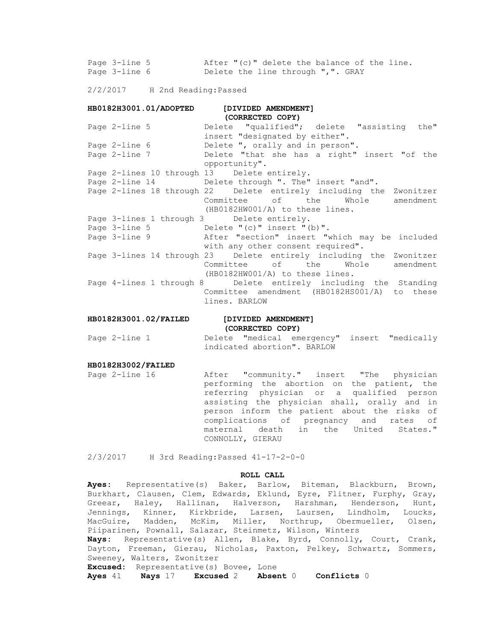| Page 3-line 5 |  |  | After "(c)" delete the balance of the line. |  |  |  |
|---------------|--|--|---------------------------------------------|--|--|--|
| Page 3-line 6 |  |  | Delete the line through ",". GRAY           |  |  |  |

2/2/2017 H 2nd Reading:Passed

**HB0182H3001.01/ADOPTED [DIVIDED AMENDMENT] (CORRECTED COPY)** Page 2-line 5 Delete "qualified"; delete "assisting the" insert "designated by either". Page 2-line 6 Delete ", orally and in person". Page 2-line 7 Delete "that she has a right" insert "of the opportunity". Page 2-lines 10 through 13 Delete entirely. Page 2-line 14 Delete through ". The" insert "and". Page 2-lines 18 through 22 Delete entirely including the Zwonitzer Committee of the Whole amendment (HB0182HW001/A) to these lines. Page 3-lines 1 through 3 Delete entirely. Page 3-line 5 Delete "(c)" insert "(b)". Page 3-line 9 6 After "section" insert "which may be included with any other consent required". Page 3-lines 14 through 23 Delete entirely including the Zwonitzer Committee of the Whole amendment (HB0182HW001/A) to these lines. Page 4-lines 1 through 8 Delete entirely including the Standing Committee amendment (HB0182HS001/A) to these lines. BARLOW

# **HB0182H3001.02/FAILED [DIVIDED AMENDMENT] (CORRECTED COPY)**

Page 2-line 1 Delete "medical emergency" insert "medically indicated abortion". BARLOW

# **HB0182H3002/FAILED**

Page 2-line 16 After "community." insert "The physician performing the abortion on the patient, the referring physician or a qualified person assisting the physician shall, orally and in person inform the patient about the risks of complications of pregnancy and rates of maternal death in the United States." CONNOLLY, GIERAU

2/3/2017 H 3rd Reading:Passed 41-17-2-0-0

## **ROLL CALL**

**Ayes:** Representative(s) Baker, Barlow, Biteman, Blackburn, Brown, Burkhart, Clausen, Clem, Edwards, Eklund, Eyre, Flitner, Furphy, Gray, Greear, Haley, Hallinan, Halverson, Harshman, Henderson, Hunt, Jennings, Kinner, Kirkbride, Larsen, Laursen, Lindholm, Loucks, MacGuire, Madden, McKim, Miller, Northrup, Obermueller, Olsen, Piiparinen, Pownall, Salazar, Steinmetz, Wilson, Winters

**Nays:** Representative(s) Allen, Blake, Byrd, Connolly, Court, Crank, Dayton, Freeman, Gierau, Nicholas, Paxton, Pelkey, Schwartz, Sommers, Sweeney, Walters, Zwonitzer

**Excused:** Representative(s) Bovee, Lone

**Ayes** 41 **Nays** 17 **Excused** 2 **Absent** 0 **Conflicts** 0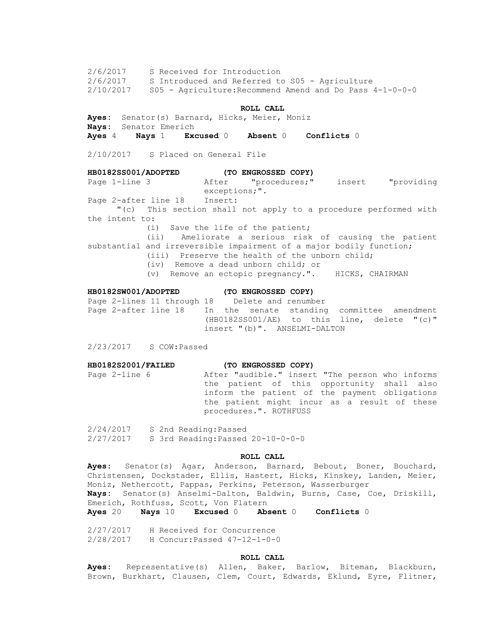2/6/2017 S Received for Introduction 2/6/2017 S Introduced and Referred to S05 - Agriculture 2/10/2017 S05 - Agriculture:Recommend Amend and Do Pass 4-1-0-0-0

#### **ROLL CALL**

**Ayes:** Senator(s) Barnard, Hicks, Meier, Moniz

**Nays:** Senator Emerich

**Ayes** 4 **Nays** 1 **Excused** 0 **Absent** 0 **Conflicts** 0

2/10/2017 S Placed on General File

# **HB0182SS001/ADOPTED (TO ENGROSSED COPY)**

Page 1-line 3 After "procedures;" insert "providing exceptions;".

Page 2-after line 18 Insert:

"(c) This section shall not apply to a procedure performed with the intent to:

(i) Save the life of the patient;

(ii) Ameliorate a serious risk of causing the patient substantial and irreversible impairment of a major bodily function; (iii) Preserve the health of the unborn child;

(iv) Remove a dead unborn child; or

(v) Remove an ectopic pregnancy.". HICKS, CHAIRMAN

# **HB0182SW001/ADOPTED (TO ENGROSSED COPY)**

Page 2-lines 11 through 18 Delete and renumber Page 2-after line 18 In the senate standing committee amendment (HB0182SS001/AE) to this line, delete "(c)" insert "(b)". ANSELMI-DALTON

2/23/2017 S COW:Passed

## **HB0182S2001/FAILED (TO ENGROSSED COPY)**

Page 2-line 6 6 After "audible." insert "The person who informs the patient of this opportunity shall also inform the patient of the payment obligations the patient might incur as a result of these procedures.". ROTHFUSS

2/24/2017 S 2nd Reading:Passed 2/27/2017 S 3rd Reading:Passed 20-10-0-0-0

#### **ROLL CALL**

**Ayes:** Senator(s) Agar, Anderson, Barnard, Bebout, Boner, Bouchard, Christensen, Dockstader, Ellis, Hastert, Hicks, Kinskey, Landen, Meier, Moniz, Nethercott, Pappas, Perkins, Peterson, Wasserburger **Nays:** Senator(s) Anselmi-Dalton, Baldwin, Burns, Case, Coe, Driskill, Emerich, Rothfuss, Scott, Von Flatern

**Ayes** 20 **Nays** 10 **Excused** 0 **Absent** 0 **Conflicts** 0

2/27/2017 H Received for Concurrence 2/28/2017 H Concur:Passed 47-12-1-0-0

#### **ROLL CALL**

**Ayes:** Representative(s) Allen, Baker, Barlow, Biteman, Blackburn, Brown, Burkhart, Clausen, Clem, Court, Edwards, Eklund, Eyre, Flitner,